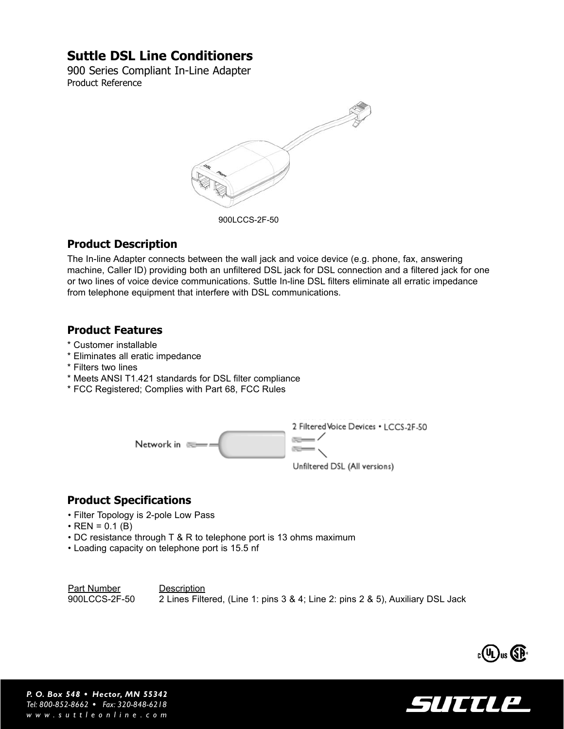# **Suttle DSL Line Conditioners**

900 Series Compliant In-Line Adapter Product Reference



### **Product Description**

The In-line Adapter connects between the wall jack and voice device (e.g. phone, fax, answering machine, Caller ID) providing both an unfiltered DSL jack for DSL connection and a filtered jack for one or two lines of voice device communications. Suttle In-line DSL filters eliminate all erratic impedance from telephone equipment that interfere with DSL communications.

### **Product Features**

- \* Customer installable
- \* Eliminates all eratic impedance
- \* Filters two lines
- \* Meets ANSI T1.421 standards for DSL filter compliance
- \* FCC Registered; Complies with Part 68, FCC Rules



## **Product Specifications**

- Filter Topology is 2-pole Low Pass
- $\cdot$  REN = 0.1 (B)
- DC resistance through T & R to telephone port is 13 ohms maximum
- Loading capacity on telephone port is 15.5 nf

Part Number Description 900LCCS-2F-50 2 Lines Filtered, (Line 1: pins 3 & 4; Line 2: pins 2 & 5), Auxiliary DSL Jack